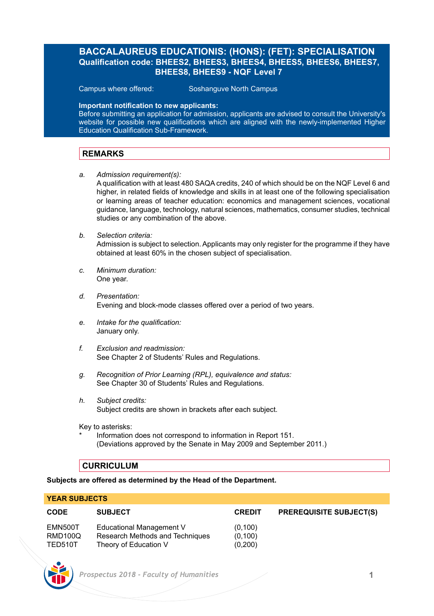## **BACCALAUREUS EDUCATIONIS: (HONS): (FET): SPECIALISATION Qualification code: BHEES2, BHEES3, BHEES4, BHEES5, BHEES6, BHEES7, BHEES8, BHEES9 - NQF Level 7**

Campus where offered: Soshanguve North Campus

### **Important notification to new applicants:**

Before submitting an application for admission, applicants are advised to consult the University's website for possible new qualifications which are aligned with the newly-implemented Higher Education Qualification Sub-Framework.

### **REMARKS**

*a. Admission requirement(s):*

A qualification with at least 480 SAQA credits, 240 of which should be on the NQF Level 6 and higher, in related fields of knowledge and skills in at least one of the following specialisation or learning areas of teacher education: economics and management sciences, vocational guidance, language, technology, natural sciences, mathematics, consumer studies, technical studies or any combination of the above.

*b. Selection criteria:*

Admission is subject to selection. Applicants may only register for the programme if they have obtained at least 60% in the chosen subject of specialisation.

- *c. Minimum duration:* One year.
- *d. Presentation:*  Evening and block-mode classes offered over a period of two years.
- *e. Intake for the qualification:* January only.
- *f. Exclusion and readmission:* See Chapter 2 of Students' Rules and Regulations.
- *g. Recognition of Prior Learning (RPL), equivalence and status:* See Chapter 30 of Students' Rules and Regulations.
- *h. Subject credits:* Subject credits are shown in brackets after each subject.

Key to asterisks:

Information does not correspond to information in Report 151. (Deviations approved by the Senate in May 2009 and September 2011.)

### **CURRICULUM**

**Subjects are offered as determined by the Head of the Department.**

### **YEAR SUBJECTS**

| <b>CODE</b> | <b>SUBJECT</b>                  | <b>CREDIT</b> | <b>PREREQUISITE SUBJECT(S)</b> |
|-------------|---------------------------------|---------------|--------------------------------|
| EMN500T     | Educational Management V        | (0.100)       |                                |
| RMD100Q     | Research Methods and Techniques | (0.100)       |                                |
| TED510T     | Theory of Education V           | (0,200)       |                                |

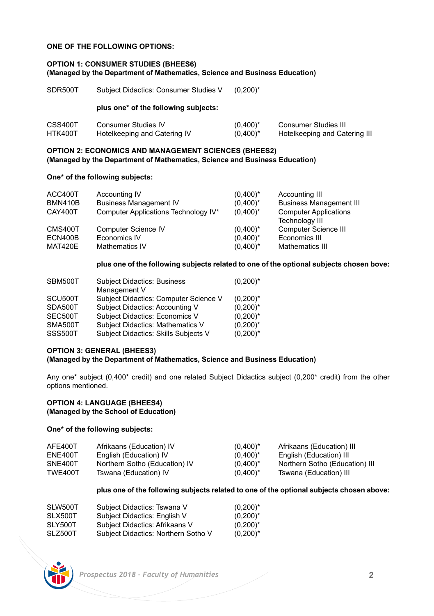### **ONE OF THE FOLLOWING OPTIONS:**

#### **OPTION 1: CONSUMER STUDIES (BHEES6) (Managed by the Department of Mathematics, Science and Business Education)**

| SDR500T            | Subject Didactics: Consumer Studies V                      | $(0.200)^*$                |                                                              |
|--------------------|------------------------------------------------------------|----------------------------|--------------------------------------------------------------|
|                    | plus one* of the following subjects:                       |                            |                                                              |
| CSS400T<br>HTK400T | <b>Consumer Studies IV</b><br>Hotelkeeping and Catering IV | $(0.400)^*$<br>$(0,400)^*$ | <b>Consumer Studies III</b><br>Hotelkeeping and Catering III |

#### **OPTION 2: ECONOMICS AND MANAGEMENT SCIENCES (BHEES2) (Managed by the Department of Mathematics, Science and Business Education)**

#### **One\* of the following subjects:**

| ACC400T        | Accounting IV                        | $(0,400)^*$ | Accounting III                                        |
|----------------|--------------------------------------|-------------|-------------------------------------------------------|
| <b>BMN410B</b> | <b>Business Management IV</b>        | $(0,400)^*$ | <b>Business Management III</b>                        |
| CAY400T        | Computer Applications Technology IV* | $(0,400)^*$ | <b>Computer Applications</b><br><b>Technology III</b> |
| CMS400T        | Computer Science IV                  | $(0,400)^*$ | Computer Science III                                  |
| ECN400B        | Economics IV                         | $(0.400)^*$ | Economics III                                         |
| MAT420E        | Mathematics IV                       | $(0,400)^*$ | Mathematics III                                       |

#### **plus one of the following subjects related to one of the optional subjects chosen bove:**

| SBM500T        | <b>Subject Didactics: Business</b><br>Management V | $(0,200)^*$ |
|----------------|----------------------------------------------------|-------------|
| SCU500T        | Subject Didactics: Computer Science V              | $(0,200)^*$ |
| SDA500T        | Subject Didactics: Accounting V                    | $(0,200)^*$ |
| SEC500T        | <b>Subject Didactics: Economics V</b>              | $(0,200)^*$ |
| SMA500T        | Subject Didactics: Mathematics V                   | $(0,200)^*$ |
| <b>SSS500T</b> | Subject Didactics: Skills Subjects V               | $(0,200)^*$ |

### **OPTION 3: GENERAL (BHEES3)**

#### **(Managed by the Department of Mathematics, Science and Business Education)**

Any one\* subject (0,400\* credit) and one related Subject Didactics subject (0,200\* credit) from the other options mentioned.

#### **OPTION 4: LANGUAGE (BHEES4) (Managed by the School of Education)**

### **One\* of the following subjects:**

| AFE400T | Afrikaans (Education) IV      | $(0.400)^*$ | Afrikaans (Education) III      |
|---------|-------------------------------|-------------|--------------------------------|
| ENE400T | English (Education) IV        | $(0.400)^*$ | English (Education) III        |
| SNE400T | Northern Sotho (Education) IV | $(0.400)^*$ | Northern Sotho (Education) III |
| TWE400T | Tswana (Education) IV         | $(0.400)^*$ | Tswana (Education) III         |

#### **plus one of the following subjects related to one of the optional subjects chosen above:**

| SLW500T | Subject Didactics: Tswana V         | $(0,200)^*$ |
|---------|-------------------------------------|-------------|
| SLX500T | Subject Didactics: English V        | $(0,200)^*$ |
| SLY500T | Subject Didactics: Afrikaans V      | $(0,200)^*$ |
| SLZ500T | Subject Didactics: Northern Sotho V | $(0,200)^*$ |

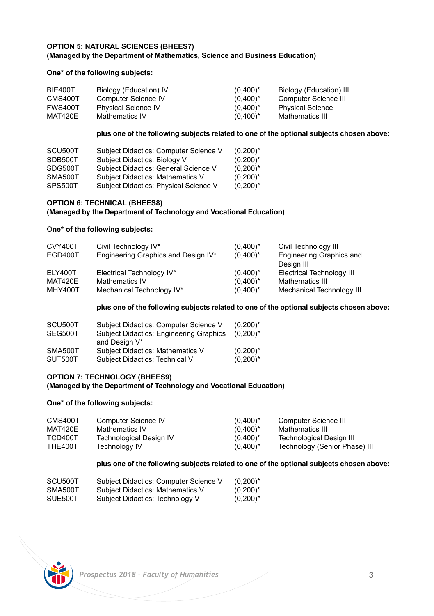### **OPTION 5: NATURAL SCIENCES (BHEES7) (Managed by the Department of Mathematics, Science and Business Education)**

### **One\* of the following subjects:**

| BIE400T | Biology (Education) IV     | $(0.400)^*$ | Biology (Education) III     |
|---------|----------------------------|-------------|-----------------------------|
| CMS400T | Computer Science IV        | $(0.400)^*$ | Computer Science III        |
| FWS400T | <b>Physical Science IV</b> | $(0.400)^*$ | <b>Physical Science III</b> |
| MAT420E | <b>Mathematics IV</b>      | $(0.400)^*$ | Mathematics III             |

#### **plus one of the following subjects related to one of the optional subjects chosen above:**

| SCU500T | Subject Didactics: Computer Science V | $(0,200)^*$ |
|---------|---------------------------------------|-------------|
| SDB500T | Subject Didactics: Biology V          | $(0,200)^*$ |
| SDG500T | Subject Didactics: General Science V  | $(0,200)^*$ |
| SMA500T | Subject Didactics: Mathematics V      | $(0,200)^*$ |
| SPS500T | Subject Didactics: Physical Science V | $(0,200)^*$ |

### **OPTION 6: TECHNICAL (BHEES8)**

### **(Managed by the Department of Technology and Vocational Education)**

#### O**ne\* of the following subjects:**

| CVY400T | Civil Technology IV*                | $(0.400)^*$ | Civil Technology III             |
|---------|-------------------------------------|-------------|----------------------------------|
| EGD400T | Engineering Graphics and Design IV* | $(0.400)^*$ | Engineering Graphics and         |
|         |                                     |             | Design III                       |
| ELY400T | Electrical Technology IV*           | $(0.400)^*$ | <b>Electrical Technology III</b> |
| MAT420E | Mathematics IV                      | $(0.400)^*$ | Mathematics III                  |
| MHY400T | Mechanical Technology IV*           | $(0,400)^*$ | Mechanical Technology III        |

#### **plus one of the following subjects related to one of the optional subjects chosen above:**

| SCU500T | Subject Didactics: Computer Science V          | $(0.200)^*$ |
|---------|------------------------------------------------|-------------|
| SEG500T | <b>Subject Didactics: Engineering Graphics</b> | $(0.200)^*$ |
|         | and Design V*                                  |             |
| SMA500T | Subject Didactics: Mathematics V               | $(0,200)^*$ |
| SUT500T | Subject Didactics: Technical V                 | $(0,200)^*$ |

## **OPTION 7: TECHNOLOGY (BHEES9)**

## **(Managed by the Department of Technology and Vocational Education)**

### **One\* of the following subjects:**

| CMS400T | Computer Science IV     | $(0.400)^*$ | Computer Science III          |
|---------|-------------------------|-------------|-------------------------------|
| MAT420E | Mathematics IV          | $(0.400)^*$ | Mathematics III               |
| TCD400T | Technological Design IV | $(0.400)^*$ | Technological Design III      |
| THE400T | Technology IV           | $(0.400)^*$ | Technology (Senior Phase) III |

### **plus one of the following subjects related to one of the optional subjects chosen above:**

| SCU500T | Subject Didactics: Computer Science V | $(0,200)^*$ |
|---------|---------------------------------------|-------------|
| SMA500T | Subject Didactics: Mathematics V      | $(0,200)^*$ |
| SUE500T | Subject Didactics: Technology V       | $(0,200)^*$ |

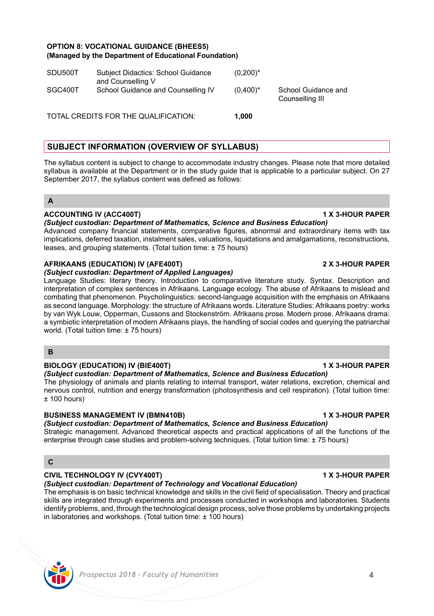## **OPTION 8: VOCATIONAL GUIDANCE (BHEES5) (Managed by the Department of Educational Foundation)**

| SGC400T<br>School Guidance and Counselling IV<br>$(0.400)^*$ | School Guidance and<br>Counselling III |
|--------------------------------------------------------------|----------------------------------------|
|                                                              |                                        |

## **SUBJECT INFORMATION (OVERVIEW OF SYLLABUS)**

The syllabus content is subject to change to accommodate industry changes. Please note that more detailed syllabus is available at the Department or in the study guide that is applicable to a particular subject. On 27 September 2017, the syllabus content was defined as follows:

### **A**

### **ACCOUNTING IV (ACC400T) 1 X 3-HOUR PAPER**

#### *(Subject custodian: Department of Mathematics, Science and Business Education)*

Advanced company financial statements, comparative figures, abnormal and extraordinary items with tax implications, deferred taxation, instalment sales, valuations, liquidations and amalgamations, reconstructions, leases, and grouping statements. (Total tuition time: ± 75 hours)

### **AFRIKAANS (EDUCATION) IV (AFE400T) 2 X 3-HOUR PAPER**

#### *(Subject custodian: Department of Applied Languages)*

Language Studies: literary theory. Introduction to comparative literature study. Syntax. Description and interpretation of complex sentences in Afrikaans. Language ecology. The abuse of Afrikaans to mislead and combating that phenomenon. Psycholinguistics: second-language acquisition with the emphasis on Afrikaans as second language. Morphology: the structure of Afrikaans words. Literature Studies: Afrikaans poetry: works by van Wyk Louw, Opperman, Cussons and Stockenström. Afrikaans prose. Modern prose. Afrikaans drama: a symbiotic interpretation of modern Afrikaans plays, the handling of social codes and querying the patriarchal world. (Total tuition time: ± 75 hours)

### **B**

#### **BIOLOGY (EDUCATION) IV (BIE400T) 1 X 3-HOUR PAPER**

#### *(Subject custodian: Department of Mathematics, Science and Business Education)*

The physiology of animals and plants relating to internal transport, water relations, excretion, chemical and nervous control, nutrition and energy transformation (photosynthesis and cell respiration). (Total tuition time:  $± 100$  hours)

### **BUSINESS MANAGEMENT IV (BMN410B) 1 X 3-HOUR PAPER**

## *(Subject custodian: Department of Mathematics, Science and Business Education)*

Strategic management. Advanced theoretical aspects and practical applications of all the functions of the enterprise through case studies and problem-solving techniques. (Total tuition time: ± 75 hours)

## **C**

### **CIVIL TECHNOLOGY IV (CVY400T) 1 X 3-HOUR PAPER**

#### *(Subject custodian: Department of Technology and Vocational Education)*

The emphasis is on basic technical knowledge and skills in the civil field of specialisation. Theory and practical skills are integrated through experiments and processes conducted in workshops and laboratories. Students identify problems, and, through the technological design process, solve those problems by undertaking projects in laboratories and workshops. (Total tuition time: ± 100 hours)



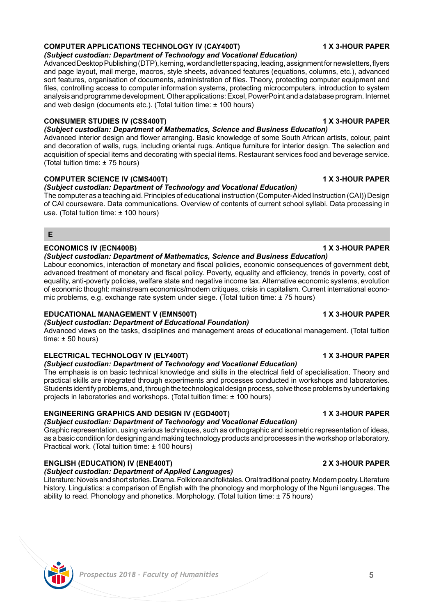#### **COMPUTER APPLICATIONS TECHNOLOGY IV (CAY400T) 1 X 3-HOUR PAPER** *(Subject custodian: Department of Technology and Vocational Education)*

Advanced Desktop Publishing (DTP), kerning, word and letter spacing, leading, assignment for newsletters, flyers and page layout, mail merge, macros, style sheets, advanced features (equations, columns, etc.), advanced sort features, organisation of documents, administration of files. Theory, protecting computer equipment and files, controlling access to computer information systems, protecting microcomputers, introduction to system analysis and programme development. Other applications: Excel, PowerPoint and a database program. Internet and web design (documents etc.). (Total tuition time: ± 100 hours)

## **CONSUMER STUDIES IV (CSS400T) 1 X 3-HOUR PAPER**

*(Subject custodian: Department of Mathematics, Science and Business Education)* 

Advanced interior design and flower arranging. Basic knowledge of some South African artists, colour, paint and decoration of walls, rugs, including oriental rugs. Antique furniture for interior design. The selection and acquisition of special items and decorating with special items. Restaurant services food and beverage service. (Total tuition time: ± 75 hours)

## **COMPUTER SCIENCE IV (CMS400T) 1 X 3-HOUR PAPER**

## *(Subject custodian: Department of Technology and Vocational Education)*

The computer as a teaching aid. Principles of educational instruction (Computer-Aided Instruction (CAI)) Design of CAI courseware. Data communications. Overview of contents of current school syllabi. Data processing in use. (Total tuition time: ± 100 hours)

#### **E**

### **ECONOMICS IV (ECN400B) 1 X 3-HOUR PAPER**

#### *(Subject custodian: Department of Mathematics, Science and Business Education)*

Labour economics, interaction of monetary and fiscal policies, economic consequences of government debt, advanced treatment of monetary and fiscal policy. Poverty, equality and efficiency, trends in poverty, cost of equality, anti-poverty policies, welfare state and negative income tax. Alternative economic systems, evolution of economic thought: mainstream economics/modern critiques, crisis in capitalism. Current international economic problems, e.g. exchange rate system under siege. (Total tuition time: ± 75 hours)

### **EDUCATIONAL MANAGEMENT V (EMN500T) 1 X 3-HOUR PAPER**

## *(Subject custodian: Department of Educational Foundation)*

Advanced views on the tasks, disciplines and management areas of educational management. (Total tuition  $time: +50 hours$ 

## **ELECTRICAL TECHNOLOGY IV (ELY400T) 1 X 3-HOUR PAPER**

## *(Subject custodian: Department of Technology and Vocational Education)*

The emphasis is on basic technical knowledge and skills in the electrical field of specialisation. Theory and practical skills are integrated through experiments and processes conducted in workshops and laboratories. Students identify problems, and, through the technological design process, solve those problems by undertaking projects in laboratories and workshops. (Total tuition time: ± 100 hours)

## **ENGINEERING GRAPHICS AND DESIGN IV (EGD400T) 1 X 3-HOUR PAPER**

## *(Subject custodian: Department of Technology and Vocational Education)*

Graphic representation, using various techniques, such as orthographic and isometric representation of ideas, as a basic condition for designing and making technology products and processes in the workshop or laboratory. Practical work. (Total tuition time: ± 100 hours)

## **ENGLISH (EDUCATION) IV (ENE400T) 2 X 3-HOUR PAPER**

# *(Subject custodian: Department of Applied Languages)*

Literature: Novels and short stories. Drama. Folklore and folktales. Oral traditional poetry. Modern poetry. Literature history. Linguistics: a comparison of English with the phonology and morphology of the Nguni languages. The ability to read. Phonology and phonetics. Morphology. (Total tuition time: ± 75 hours)

 *Prospectus 2018 - Faculty of Humanities* **5**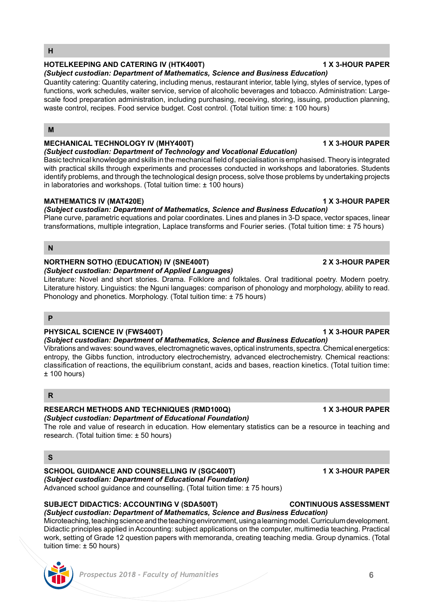#### **H**

### **HOTELKEEPING AND CATERING IV (HTK400T) 1 X 3-HOUR PAPER**

*(Subject custodian: Department of Mathematics, Science and Business Education)*  Quantity catering: Quantity catering, including menus, restaurant interior, table lying, styles of service, types of functions, work schedules, waiter service, service of alcoholic beverages and tobacco. Administration: Largescale food preparation administration, including purchasing, receiving, storing, issuing, production planning, waste control, recipes. Food service budget. Cost control. (Total tuition time: ± 100 hours)

#### **M**

## **MECHANICAL TECHNOLOGY IV (MHY400T) 1 X 3-HOUR PAPER**

#### *(Subject custodian: Department of Technology and Vocational Education)*

Basic technical knowledge and skills in the mechanical field of specialisation is emphasised. Theory is integrated with practical skills through experiments and processes conducted in workshops and laboratories. Students identify problems, and through the technological design process, solve those problems by undertaking projects in laboratories and workshops. (Total tuition time: ± 100 hours)

#### **MATHEMATICS IV (MAT420E) 1 X 3-HOUR PAPER**

*(Subject custodian: Department of Mathematics, Science and Business Education)*  Plane curve, parametric equations and polar coordinates. Lines and planes in 3-D space, vector spaces, linear transformations, multiple integration, Laplace transforms and Fourier series. (Total tuition time: ± 75 hours)

### **N**

## **NORTHERN SOTHO (EDUCATION) IV (SNE400T) 2 X 3-HOUR PAPER**

### *(Subject custodian: Department of Applied Languages)*

Literature: Novel and short stories. Drama. Folklore and folktales. Oral traditional poetry. Modern poetry. Literature history. Linguistics: the Nguni languages: comparison of phonology and morphology, ability to read. Phonology and phonetics. Morphology. (Total tuition time: ± 75 hours)

#### **P**

### **PHYSICAL SCIENCE IV (FWS400T) 1 X 3-HOUR PAPER**

*(Subject custodian: Department of Mathematics, Science and Business Education)* 

Vibrations and waves: sound waves, electromagnetic waves, optical instruments, spectra. Chemical energetics: entropy, the Gibbs function, introductory electrochemistry, advanced electrochemistry. Chemical reactions: classification of reactions, the equilibrium constant, acids and bases, reaction kinetics. (Total tuition time:  $±$  100 hours)

### **R**

#### **RESEARCH METHODS AND TECHNIQUES (RMD100Q) 1 X 3-HOUR PAPER** *(Subject custodian: Department of Educational Foundation)*

The role and value of research in education. How elementary statistics can be a resource in teaching and research. (Total tuition time: ± 50 hours)

## **S**

#### **SCHOOL GUIDANCE AND COUNSELLING IV (SGC400T) 1 X 3-HOUR PAPER** *(Subject custodian: Department of Educational Foundation)* Advanced school guidance and counselling. (Total tuition time: ± 75 hours)

### **SUBJECT DIDACTICS: ACCOUNTING V (SDA500T) CONTINUOUS ASSESSMENT**

*(Subject custodian: Department of Mathematics, Science and Business Education)*  Microteaching, teaching science and the teaching environment, using a learning model. Curriculum development. Didactic principles applied in Accounting: subject applications on the computer, multimedia teaching. Practical work, setting of Grade 12 question papers with memoranda, creating teaching media. Group dynamics. (Total tuition time: ± 50 hours)

### *Prospectus 2018 - Faculty of Humanities* **6**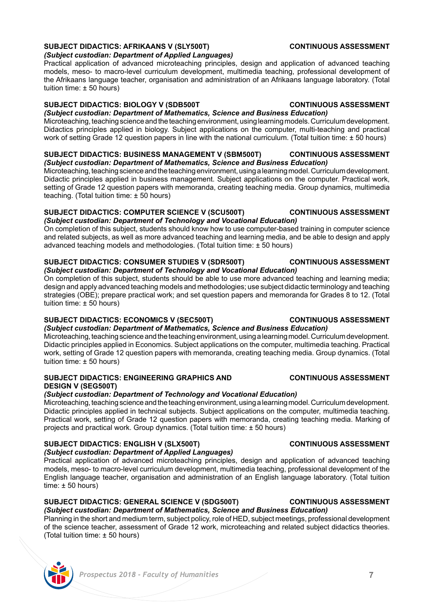#### **SUBJECT DIDACTICS: AFRIKAANS V (SLY500T) CONTINUOUS ASSESSMENT** *(Subject custodian: Department of Applied Languages)*

Practical application of advanced microteaching principles, design and application of advanced teaching models, meso- to macro-level curriculum development, multimedia teaching, professional development of the Afrikaans language teacher, organisation and administration of an Afrikaans language laboratory. (Total tuition time: ± 50 hours)

## **SUBJECT DIDACTICS: BIOLOGY V (SDB500T CONTINUOUS ASSESSMENT**

*(Subject custodian: Department of Mathematics, Science and Business Education)*  Microteaching, teaching science and the teaching environment, using learning models. Curriculum development. Didactics principles applied in biology. Subject applications on the computer, multi-teaching and practical work of setting Grade 12 question papers in line with the national curriculum. (Total tuition time: ± 50 hours)

#### **SUBJECT DIDACTICS: BUSINESS MANAGEMENT V (SBM500T) CONTINUOUS ASSESSMENT** *(Subject custodian: Department of Mathematics, Science and Business Education)*

Microteaching, teaching science and the teaching environment, using a learning model. Curriculum development. Didactic principles applied in business management. Subject applications on the computer. Practical work, setting of Grade 12 question papers with memoranda, creating teaching media. Group dynamics, multimedia teaching. (Total tuition time: ± 50 hours)

#### **SUBJECT DIDACTICS: COMPUTER SCIENCE V (SCU500T) CONTINUOUS ASSESSMENT** *(Subject custodian: Department of Technology and Vocational Education)*

On completion of this subject, students should know how to use computer-based training in computer science and related subjects, as well as more advanced teaching and learning media, and be able to design and apply advanced teaching models and methodologies. (Total tuition time: ± 50 hours)

#### **SUBJECT DIDACTICS: CONSUMER STUDIES V (SDR500T) CONTINUOUS ASSESSMENT** *(Subject custodian: Department of Technology and Vocational Education)*

On completion of this subject, students should be able to use more advanced teaching and learning media; design and apply advanced teaching models and methodologies; use subject didactic terminology and teaching strategies (OBE); prepare practical work; and set question papers and memoranda for Grades 8 to 12. (Total tuition time: ± 50 hours)

## **SUBJECT DIDACTICS: ECONOMICS V (SEC500T) CONTINUOUS ASSESSMENT**

*(Subject custodian: Department of Mathematics, Science and Business Education)*  Microteaching, teaching science and the teaching environment, using a learning model. Curriculum development. Didactic principles applied in Economics. Subject applications on the computer, multimedia teaching. Practical work, setting of Grade 12 question papers with memoranda, creating teaching media. Group dynamics. (Total tuition time: ± 50 hours)

### **SUBJECT DIDACTICS: ENGINEERING GRAPHICS AND CONTINUOUS ASSESSMENT DESIGN V (SEG500T)**

## *(Subject custodian: Department of Technology and Vocational Education)*

Microteaching, teaching science and the teaching environment, using a learning model. Curriculum development. Didactic principles applied in technical subjects. Subject applications on the computer, multimedia teaching. Practical work, setting of Grade 12 question papers with memoranda, creating teaching media. Marking of projects and practical work. Group dynamics. (Total tuition time: ± 50 hours)

## **SUBJECT DIDACTICS: ENGLISH V (SLX500T) CONTINUOUS ASSESSMENT**

*(Subject custodian: Department of Applied Languages)*

Practical application of advanced microteaching principles, design and application of advanced teaching models, meso- to macro-level curriculum development, multimedia teaching, professional development of the English language teacher, organisation and administration of an English language laboratory. (Total tuition  $time: \pm 50$  hours)

# **SUBJECT DIDACTICS: GENERAL SCIENCE V (SDG500T) CONTINUOUS ASSESSMENT**

*(Subject custodian: Department of Mathematics, Science and Business Education)*  Planning in the short and medium term, subject policy, role of HED, subject meetings, professional development of the science teacher, assessment of Grade 12 work, microteaching and related subject didactics theories. (Total tuition time: ± 50 hours)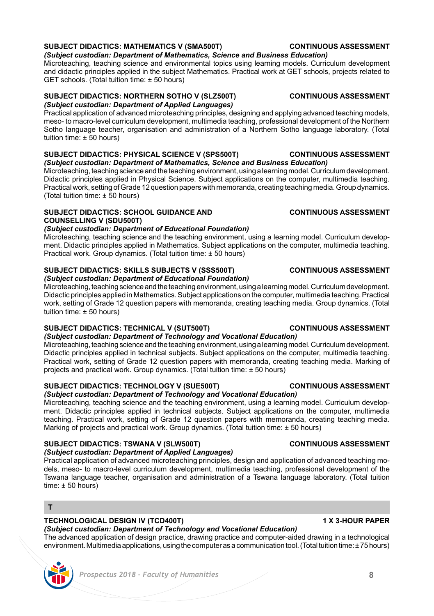# **SUBJECT DIDACTICS: MATHEMATICS V (SMA500T) CONTINUOUS ASSESSMENT**

*(Subject custodian: Department of Mathematics, Science and Business Education)*  Microteaching, teaching science and environmental topics using learning models. Curriculum development and didactic principles applied in the subject Mathematics. Practical work at GET schools, projects related to GET schools. (Total tuition time: ± 50 hours)

### **SUBJECT DIDACTICS: NORTHERN SOTHO V (SLZ500T) CONTINUOUS ASSESSMENT** *(Subject custodian: Department of Applied Languages)*

Practical application of advanced microteaching principles, designing and applying advanced teaching models, meso- to macro-level curriculum development, multimedia teaching, professional development of the Northern Sotho language teacher, organisation and administration of a Northern Sotho language laboratory. (Total tuition time: ± 50 hours)

#### **SUBJECT DIDACTICS: PHYSICAL SCIENCE V (SPS500T) CONTINUOUS ASSESSMENT** *(Subject custodian: Department of Mathematics, Science and Business Education)*

Microteaching, teaching science and the teaching environment, using a learning model. Curriculum development. Didactic principles applied in Physical Science. Subject applications on the computer, multimedia teaching. Practical work, setting of Grade 12 question papers with memoranda, creating teaching media. Group dynamics. (Total tuition time: ± 50 hours)

## **SUBJECT DIDACTICS: SCHOOL GUIDANCE AND CONTINUOUS ASSESSMENT COUNSELLING V (SDU500T)**

# *(Subject custodian: Department of Educational Foundation)*

Microteaching, teaching science and the teaching environment, using a learning model. Curriculum development. Didactic principles applied in Mathematics. Subject applications on the computer, multimedia teaching. Practical work. Group dynamics. (Total tuition time: ± 50 hours)

## **SUBJECT DIDACTICS: SKILLS SUBJECTS V (SSS500T) CONTINUOUS ASSESSMENT**

#### *(Subject custodian: Department of Educational Foundation)* Microteaching, teaching science and the teaching environment, using a learning model. Curriculum development. Didactic principles applied in Mathematics. Subject applications on the computer, multimedia teaching. Practical work, setting of Grade 12 question papers with memoranda, creating teaching media. Group dynamics. (Total tuition time: ± 50 hours)

## **SUBJECT DIDACTICS: TECHNICAL V (SUT500T) CONTINUOUS ASSESSMENT**

## *(Subject custodian: Department of Technology and Vocational Education)*

Microteaching, teaching science and the teaching environment, using a learning model. Curriculum development. Didactic principles applied in technical subjects. Subject applications on the computer, multimedia teaching. Practical work, setting of Grade 12 question papers with memoranda, creating teaching media. Marking of projects and practical work. Group dynamics. (Total tuition time: ± 50 hours)

## **SUBJECT DIDACTICS: TECHNOLOGY V (SUE500T) CONTINUOUS ASSESSMENT**

*(Subject custodian: Department of Technology and Vocational Education)*  Microteaching, teaching science and the teaching environment, using a learning model. Curriculum development. Didactic principles applied in technical subjects. Subject applications on the computer, multimedia teaching. Practical work, setting of Grade 12 question papers with memoranda, creating teaching media. Marking of projects and practical work. Group dynamics. (Total tuition time: ± 50 hours)

## **SUBJECT DIDACTICS: TSWANA V (SLW500T) CONTINUOUS ASSESSMENT**

## *(Subject custodian: Department of Applied Languages)*

Practical application of advanced microteaching principles, design and application of advanced teaching models, meso- to macro-level curriculum development, multimedia teaching, professional development of the Tswana language teacher, organisation and administration of a Tswana language laboratory. (Total tuition time:  $± 50$  hours)

### **T**

## **TECHNOLOGICAL DESIGN IV (TCD400T) 1 X 3-HOUR PAPER**

## *(Subject custodian: Department of Technology and Vocational Education)*

The advanced application of design practice, drawing practice and computer-aided drawing in a technological environment. Multimedia applications, using the computer as a communication tool. (Total tuition time: ± 75 hours)